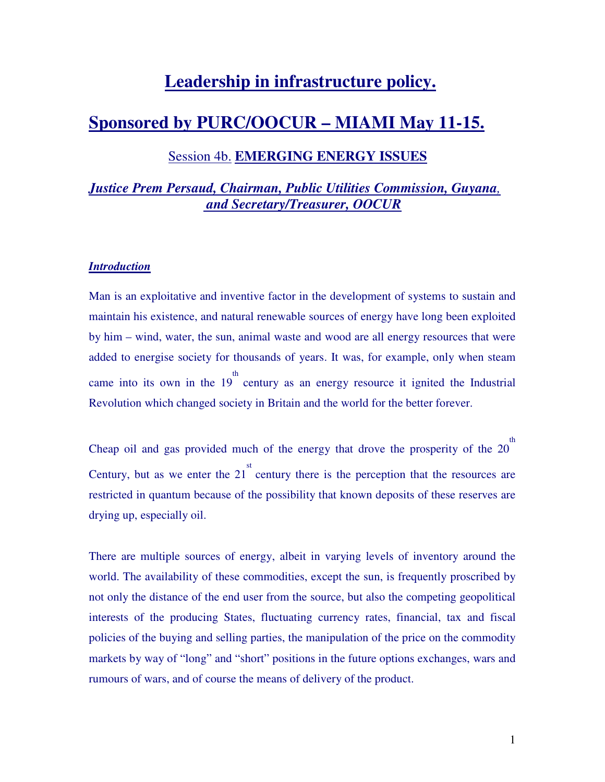# **Leadership in infrastructure policy.**

# **Sponsored by PURC/OOCUR – MIAMI May 11-15.**

# Session 4b. **EMERGING ENERGY ISSUES**

# *Justice Prem Persaud, Chairman, Public Utilities Commission, Guyana,*  *and Secretary/Treasurer, OOCUR*

## *Introduction*

Man is an exploitative and inventive factor in the development of systems to sustain and maintain his existence, and natural renewable sources of energy have long been exploited by him – wind, water, the sun, animal waste and wood are all energy resources that were added to energise society for thousands of years. It was, for example, only when steam came into its own in the  $19<sup>th</sup>$  century as an energy resource it ignited the Industrial Revolution which changed society in Britain and the world for the better forever.

Cheap oil and gas provided much of the energy that drove the prosperity of the  $20<sup>th</sup>$ Century, but as we enter the  $21<sup>st</sup>$  century there is the perception that the resources are restricted in quantum because of the possibility that known deposits of these reserves are drying up, especially oil.

There are multiple sources of energy, albeit in varying levels of inventory around the world. The availability of these commodities, except the sun, is frequently proscribed by not only the distance of the end user from the source, but also the competing geopolitical interests of the producing States, fluctuating currency rates, financial, tax and fiscal policies of the buying and selling parties, the manipulation of the price on the commodity markets by way of "long" and "short" positions in the future options exchanges, wars and rumours of wars, and of course the means of delivery of the product.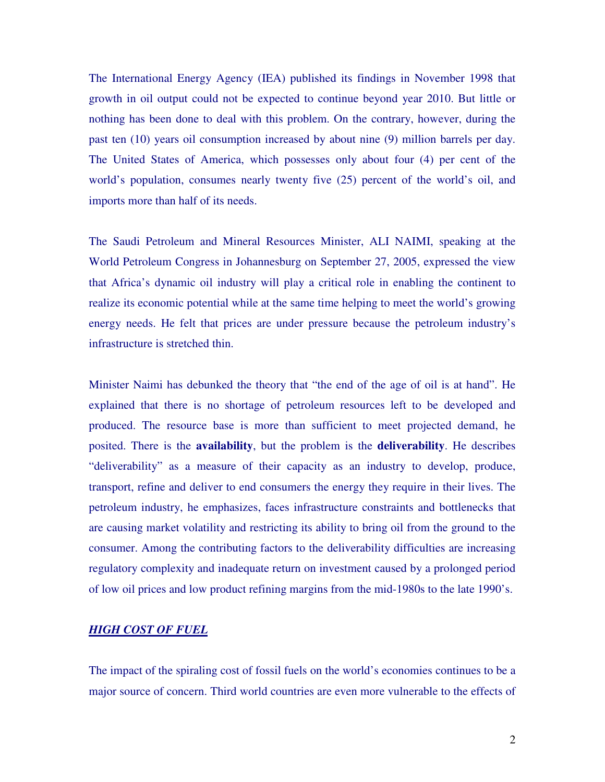The International Energy Agency (IEA) published its findings in November 1998 that growth in oil output could not be expected to continue beyond year 2010. But little or nothing has been done to deal with this problem. On the contrary, however, during the past ten (10) years oil consumption increased by about nine (9) million barrels per day. The United States of America, which possesses only about four (4) per cent of the world's population, consumes nearly twenty five (25) percent of the world's oil, and imports more than half of its needs.

The Saudi Petroleum and Mineral Resources Minister, ALI NAIMI, speaking at the World Petroleum Congress in Johannesburg on September 27, 2005, expressed the view that Africa's dynamic oil industry will play a critical role in enabling the continent to realize its economic potential while at the same time helping to meet the world's growing energy needs. He felt that prices are under pressure because the petroleum industry's infrastructure is stretched thin.

Minister Naimi has debunked the theory that "the end of the age of oil is at hand". He explained that there is no shortage of petroleum resources left to be developed and produced. The resource base is more than sufficient to meet projected demand, he posited. There is the **availability**, but the problem is the **deliverability**. He describes "deliverability" as a measure of their capacity as an industry to develop, produce, transport, refine and deliver to end consumers the energy they require in their lives. The petroleum industry, he emphasizes, faces infrastructure constraints and bottlenecks that are causing market volatility and restricting its ability to bring oil from the ground to the consumer. Among the contributing factors to the deliverability difficulties are increasing regulatory complexity and inadequate return on investment caused by a prolonged period of low oil prices and low product refining margins from the mid-1980s to the late 1990's.

#### *HIGH COST OF FUEL*

The impact of the spiraling cost of fossil fuels on the world's economies continues to be a major source of concern. Third world countries are even more vulnerable to the effects of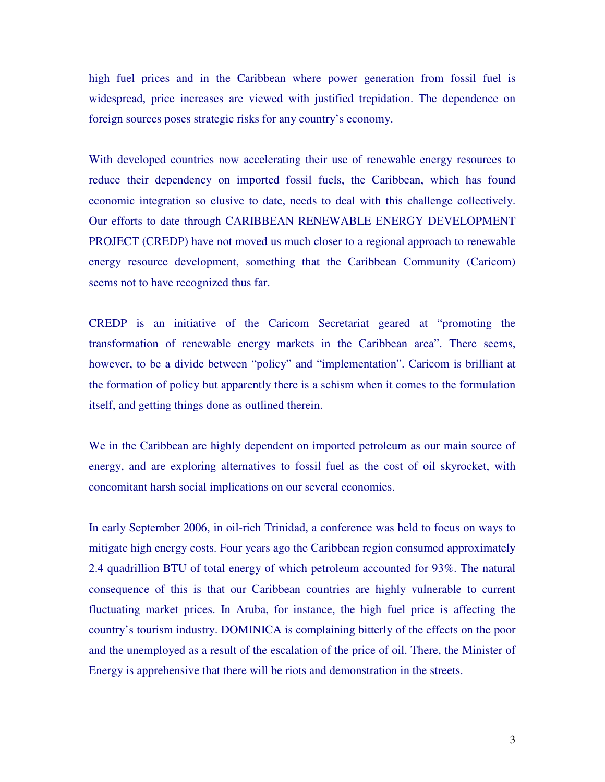high fuel prices and in the Caribbean where power generation from fossil fuel is widespread, price increases are viewed with justified trepidation. The dependence on foreign sources poses strategic risks for any country's economy.

With developed countries now accelerating their use of renewable energy resources to reduce their dependency on imported fossil fuels, the Caribbean, which has found economic integration so elusive to date, needs to deal with this challenge collectively. Our efforts to date through CARIBBEAN RENEWABLE ENERGY DEVELOPMENT PROJECT (CREDP) have not moved us much closer to a regional approach to renewable energy resource development, something that the Caribbean Community (Caricom) seems not to have recognized thus far.

CREDP is an initiative of the Caricom Secretariat geared at "promoting the transformation of renewable energy markets in the Caribbean area". There seems, however, to be a divide between "policy" and "implementation". Caricom is brilliant at the formation of policy but apparently there is a schism when it comes to the formulation itself, and getting things done as outlined therein.

We in the Caribbean are highly dependent on imported petroleum as our main source of energy, and are exploring alternatives to fossil fuel as the cost of oil skyrocket, with concomitant harsh social implications on our several economies.

In early September 2006, in oil-rich Trinidad, a conference was held to focus on ways to mitigate high energy costs. Four years ago the Caribbean region consumed approximately 2.4 quadrillion BTU of total energy of which petroleum accounted for 93%. The natural consequence of this is that our Caribbean countries are highly vulnerable to current fluctuating market prices. In Aruba, for instance, the high fuel price is affecting the country's tourism industry. DOMINICA is complaining bitterly of the effects on the poor and the unemployed as a result of the escalation of the price of oil. There, the Minister of Energy is apprehensive that there will be riots and demonstration in the streets.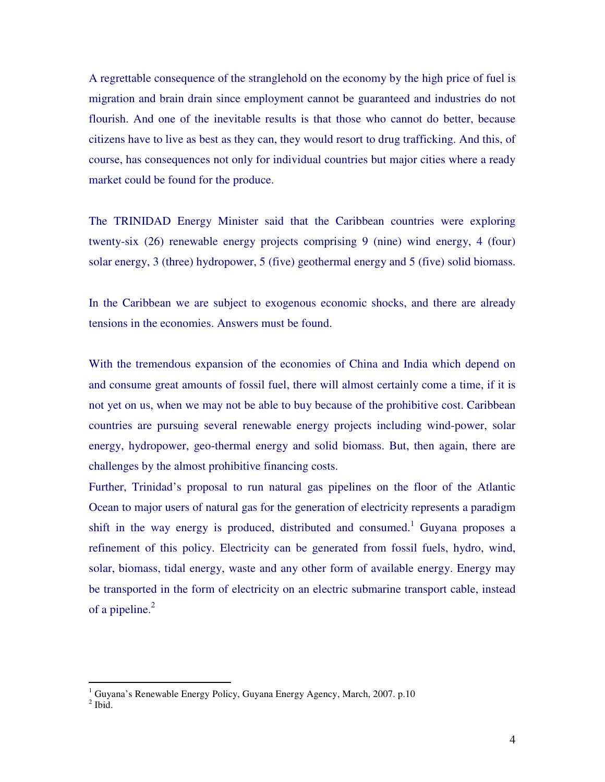A regrettable consequence of the stranglehold on the economy by the high price of fuel is migration and brain drain since employment cannot be guaranteed and industries do not flourish. And one of the inevitable results is that those who cannot do better, because citizens have to live as best as they can, they would resort to drug trafficking. And this, of course, has consequences not only for individual countries but major cities where a ready market could be found for the produce.

The TRINIDAD Energy Minister said that the Caribbean countries were exploring twenty-six (26) renewable energy projects comprising 9 (nine) wind energy, 4 (four) solar energy, 3 (three) hydropower, 5 (five) geothermal energy and 5 (five) solid biomass.

In the Caribbean we are subject to exogenous economic shocks, and there are already tensions in the economies. Answers must be found.

With the tremendous expansion of the economies of China and India which depend on and consume great amounts of fossil fuel, there will almost certainly come a time, if it is not yet on us, when we may not be able to buy because of the prohibitive cost. Caribbean countries are pursuing several renewable energy projects including wind-power, solar energy, hydropower, geo-thermal energy and solid biomass. But, then again, there are challenges by the almost prohibitive financing costs.

Further, Trinidad's proposal to run natural gas pipelines on the floor of the Atlantic Ocean to major users of natural gas for the generation of electricity represents a paradigm shift in the way energy is produced, distributed and consumed.<sup>1</sup> Guyana proposes a refinement of this policy. Electricity can be generated from fossil fuels, hydro, wind, solar, biomass, tidal energy, waste and any other form of available energy. Energy may be transported in the form of electricity on an electric submarine transport cable, instead of a pipeline. $^{2}$ 

 1 Guyana's Renewable Energy Policy, Guyana Energy Agency, March, 2007. p.10

 $<sup>2</sup>$  Ibid.</sup>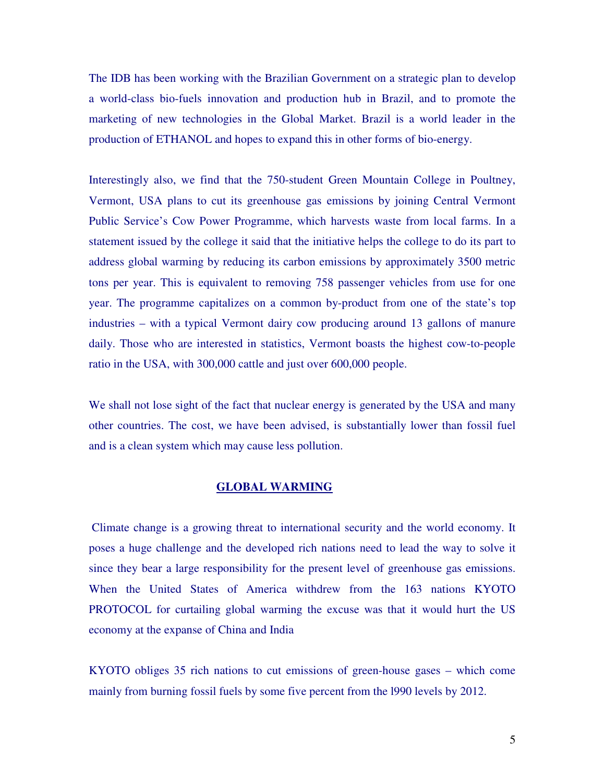The IDB has been working with the Brazilian Government on a strategic plan to develop a world-class bio-fuels innovation and production hub in Brazil, and to promote the marketing of new technologies in the Global Market. Brazil is a world leader in the production of ETHANOL and hopes to expand this in other forms of bio-energy.

Interestingly also, we find that the 750-student Green Mountain College in Poultney, Vermont, USA plans to cut its greenhouse gas emissions by joining Central Vermont Public Service's Cow Power Programme, which harvests waste from local farms. In a statement issued by the college it said that the initiative helps the college to do its part to address global warming by reducing its carbon emissions by approximately 3500 metric tons per year. This is equivalent to removing 758 passenger vehicles from use for one year. The programme capitalizes on a common by-product from one of the state's top industries – with a typical Vermont dairy cow producing around 13 gallons of manure daily. Those who are interested in statistics, Vermont boasts the highest cow-to-people ratio in the USA, with 300,000 cattle and just over 600,000 people.

We shall not lose sight of the fact that nuclear energy is generated by the USA and many other countries. The cost, we have been advised, is substantially lower than fossil fuel and is a clean system which may cause less pollution.

#### **GLOBAL WARMING**

 Climate change is a growing threat to international security and the world economy. It poses a huge challenge and the developed rich nations need to lead the way to solve it since they bear a large responsibility for the present level of greenhouse gas emissions. When the United States of America withdrew from the 163 nations KYOTO PROTOCOL for curtailing global warming the excuse was that it would hurt the US economy at the expanse of China and India

KYOTO obliges 35 rich nations to cut emissions of green-house gases – which come mainly from burning fossil fuels by some five percent from the l990 levels by 2012.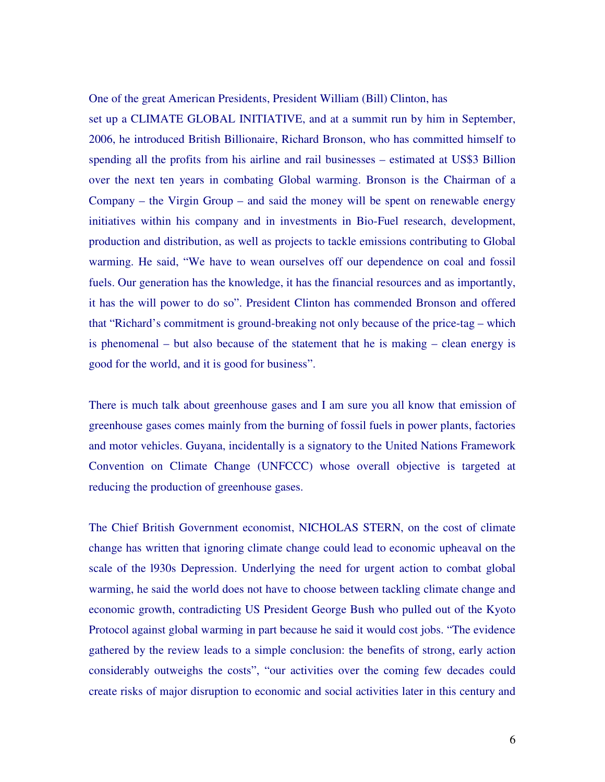One of the great American Presidents, President William (Bill) Clinton, has

set up a CLIMATE GLOBAL INITIATIVE, and at a summit run by him in September, 2006, he introduced British Billionaire, Richard Bronson, who has committed himself to spending all the profits from his airline and rail businesses – estimated at US\$3 Billion over the next ten years in combating Global warming. Bronson is the Chairman of a Company – the Virgin Group – and said the money will be spent on renewable energy initiatives within his company and in investments in Bio-Fuel research, development, production and distribution, as well as projects to tackle emissions contributing to Global warming. He said, "We have to wean ourselves off our dependence on coal and fossil fuels. Our generation has the knowledge, it has the financial resources and as importantly, it has the will power to do so". President Clinton has commended Bronson and offered that "Richard's commitment is ground-breaking not only because of the price-tag – which is phenomenal – but also because of the statement that he is making – clean energy is good for the world, and it is good for business".

There is much talk about greenhouse gases and I am sure you all know that emission of greenhouse gases comes mainly from the burning of fossil fuels in power plants, factories and motor vehicles. Guyana, incidentally is a signatory to the United Nations Framework Convention on Climate Change (UNFCCC) whose overall objective is targeted at reducing the production of greenhouse gases.

The Chief British Government economist, NICHOLAS STERN, on the cost of climate change has written that ignoring climate change could lead to economic upheaval on the scale of the l930s Depression. Underlying the need for urgent action to combat global warming, he said the world does not have to choose between tackling climate change and economic growth, contradicting US President George Bush who pulled out of the Kyoto Protocol against global warming in part because he said it would cost jobs. "The evidence gathered by the review leads to a simple conclusion: the benefits of strong, early action considerably outweighs the costs", "our activities over the coming few decades could create risks of major disruption to economic and social activities later in this century and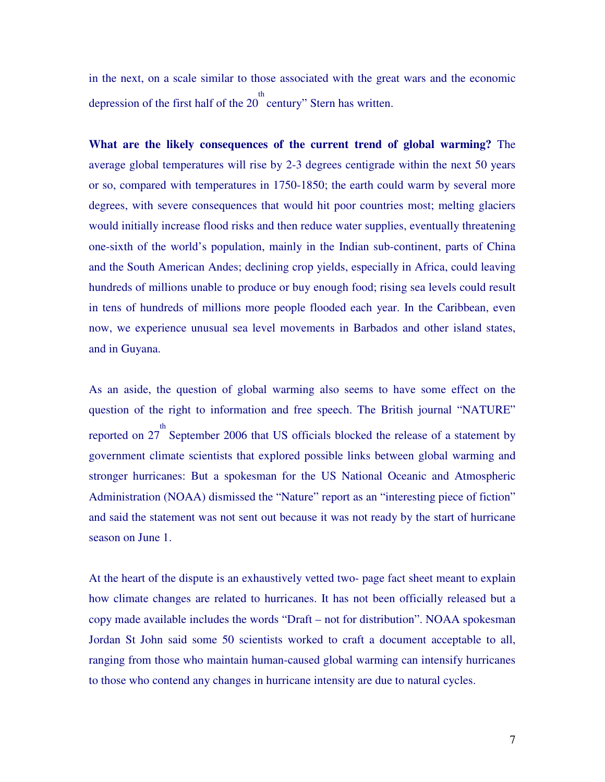in the next, on a scale similar to those associated with the great wars and the economic depression of the first half of the  $20<sup>th</sup>$  century" Stern has written.

**What are the likely consequences of the current trend of global warming?** The average global temperatures will rise by 2-3 degrees centigrade within the next 50 years or so, compared with temperatures in 1750-1850; the earth could warm by several more degrees, with severe consequences that would hit poor countries most; melting glaciers would initially increase flood risks and then reduce water supplies, eventually threatening one-sixth of the world's population, mainly in the Indian sub-continent, parts of China and the South American Andes; declining crop yields, especially in Africa, could leaving hundreds of millions unable to produce or buy enough food; rising sea levels could result in tens of hundreds of millions more people flooded each year. In the Caribbean, even now, we experience unusual sea level movements in Barbados and other island states, and in Guyana.

As an aside, the question of global warming also seems to have some effect on the question of the right to information and free speech. The British journal "NATURE" reported on  $27^{th}$  September 2006 that US officials blocked the release of a statement by government climate scientists that explored possible links between global warming and stronger hurricanes: But a spokesman for the US National Oceanic and Atmospheric Administration (NOAA) dismissed the "Nature" report as an "interesting piece of fiction" and said the statement was not sent out because it was not ready by the start of hurricane season on June 1.

At the heart of the dispute is an exhaustively vetted two- page fact sheet meant to explain how climate changes are related to hurricanes. It has not been officially released but a copy made available includes the words "Draft – not for distribution". NOAA spokesman Jordan St John said some 50 scientists worked to craft a document acceptable to all, ranging from those who maintain human-caused global warming can intensify hurricanes to those who contend any changes in hurricane intensity are due to natural cycles.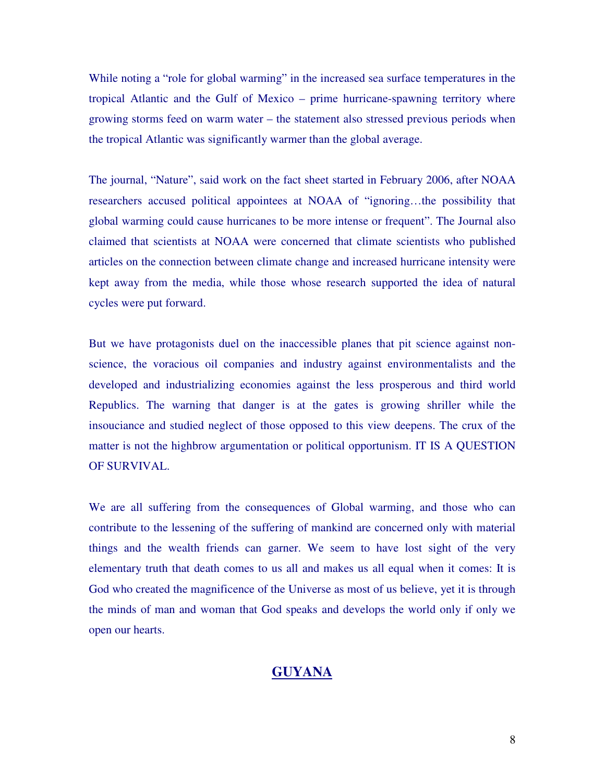While noting a "role for global warming" in the increased sea surface temperatures in the tropical Atlantic and the Gulf of Mexico – prime hurricane-spawning territory where growing storms feed on warm water – the statement also stressed previous periods when the tropical Atlantic was significantly warmer than the global average.

The journal, "Nature", said work on the fact sheet started in February 2006, after NOAA researchers accused political appointees at NOAA of "ignoring…the possibility that global warming could cause hurricanes to be more intense or frequent". The Journal also claimed that scientists at NOAA were concerned that climate scientists who published articles on the connection between climate change and increased hurricane intensity were kept away from the media, while those whose research supported the idea of natural cycles were put forward.

But we have protagonists duel on the inaccessible planes that pit science against nonscience, the voracious oil companies and industry against environmentalists and the developed and industrializing economies against the less prosperous and third world Republics. The warning that danger is at the gates is growing shriller while the insouciance and studied neglect of those opposed to this view deepens. The crux of the matter is not the highbrow argumentation or political opportunism. IT IS A QUESTION OF SURVIVAL.

We are all suffering from the consequences of Global warming, and those who can contribute to the lessening of the suffering of mankind are concerned only with material things and the wealth friends can garner. We seem to have lost sight of the very elementary truth that death comes to us all and makes us all equal when it comes: It is God who created the magnificence of the Universe as most of us believe, yet it is through the minds of man and woman that God speaks and develops the world only if only we open our hearts.

# **GUYANA**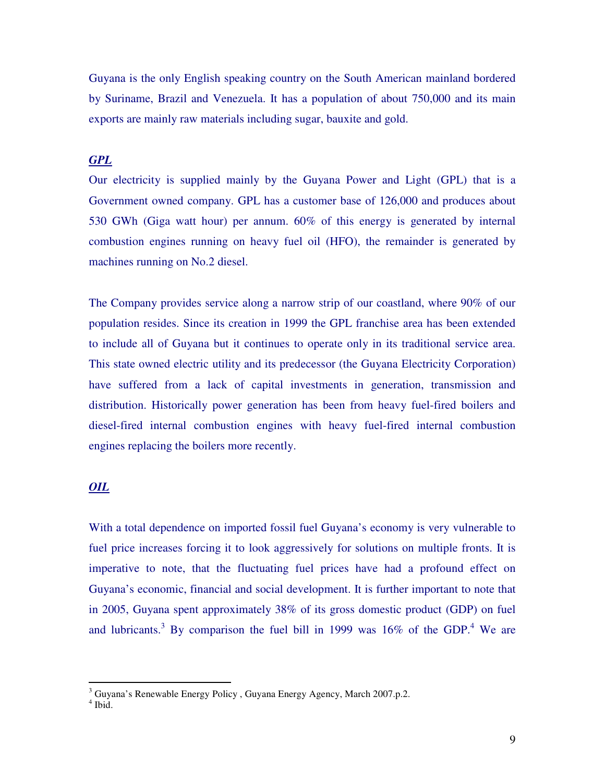Guyana is the only English speaking country on the South American mainland bordered by Suriname, Brazil and Venezuela. It has a population of about 750,000 and its main exports are mainly raw materials including sugar, bauxite and gold.

# *GPL*

Our electricity is supplied mainly by the Guyana Power and Light (GPL) that is a Government owned company. GPL has a customer base of 126,000 and produces about 530 GWh (Giga watt hour) per annum. 60% of this energy is generated by internal combustion engines running on heavy fuel oil (HFO), the remainder is generated by machines running on No.2 diesel.

The Company provides service along a narrow strip of our coastland, where 90% of our population resides. Since its creation in 1999 the GPL franchise area has been extended to include all of Guyana but it continues to operate only in its traditional service area. This state owned electric utility and its predecessor (the Guyana Electricity Corporation) have suffered from a lack of capital investments in generation, transmission and distribution. Historically power generation has been from heavy fuel-fired boilers and diesel-fired internal combustion engines with heavy fuel-fired internal combustion engines replacing the boilers more recently.

# *OIL*

With a total dependence on imported fossil fuel Guyana's economy is very vulnerable to fuel price increases forcing it to look aggressively for solutions on multiple fronts. It is imperative to note, that the fluctuating fuel prices have had a profound effect on Guyana's economic, financial and social development. It is further important to note that in 2005, Guyana spent approximately 38% of its gross domestic product (GDP) on fuel and lubricants.<sup>3</sup> By comparison the fuel bill in 1999 was  $16\%$  of the GDP.<sup>4</sup> We are

 3 Guyana's Renewable Energy Policy , Guyana Energy Agency, March 2007.p.2.

<sup>4</sup> Ibid.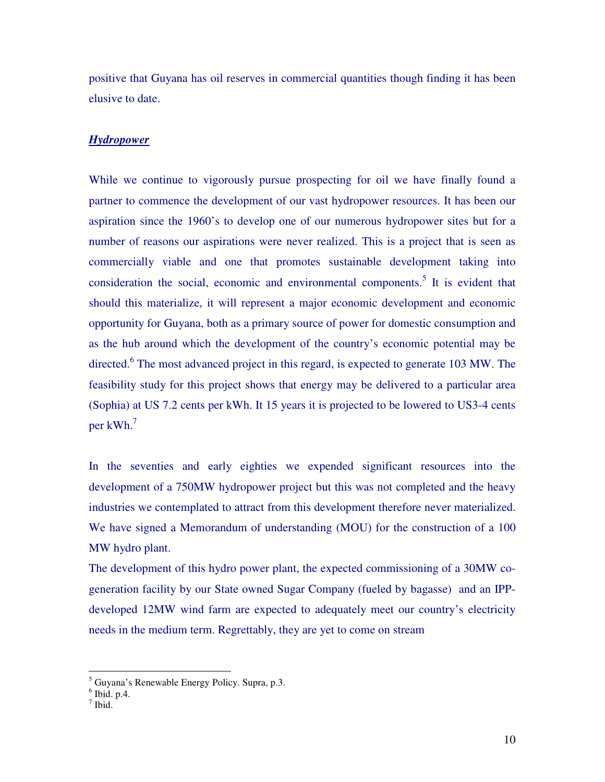positive that Guyana has oil reserves in commercial quantities though finding it has been elusive to date.

#### *Hydropower*

While we continue to vigorously pursue prospecting for oil we have finally found a partner to commence the development of our vast hydropower resources. It has been our aspiration since the 1960's to develop one of our numerous hydropower sites but for a number of reasons our aspirations were never realized. This is a project that is seen as commercially viable and one that promotes sustainable development taking into consideration the social, economic and environmental components.<sup>5</sup> It is evident that should this materialize, it will represent a major economic development and economic opportunity for Guyana, both as a primary source of power for domestic consumption and as the hub around which the development of the country's economic potential may be directed.<sup>6</sup> The most advanced project in this regard, is expected to generate 103 MW. The feasibility study for this project shows that energy may be delivered to a particular area (Sophia) at US 7.2 cents per kWh. It 15 years it is projected to be lowered to US3-4 cents per kWh.<sup>7</sup>

In the seventies and early eighties we expended significant resources into the development of a 750MW hydropower project but this was not completed and the heavy industries we contemplated to attract from this development therefore never materialized. We have signed a Memorandum of understanding (MOU) for the construction of a 100 MW hydro plant.

The development of this hydro power plant, the expected commissioning of a 30MW cogeneration facility by our State owned Sugar Company (fueled by bagasse) and an IPPdeveloped 12MW wind farm are expected to adequately meet our country's electricity needs in the medium term. Regrettably, they are yet to come on stream

<sup>&</sup>lt;sup>5</sup> Guyana's Renewable Energy Policy. Supra, p.3.<br><sup>6</sup> Ibid. p.4.

<sup>7</sup> Ibid.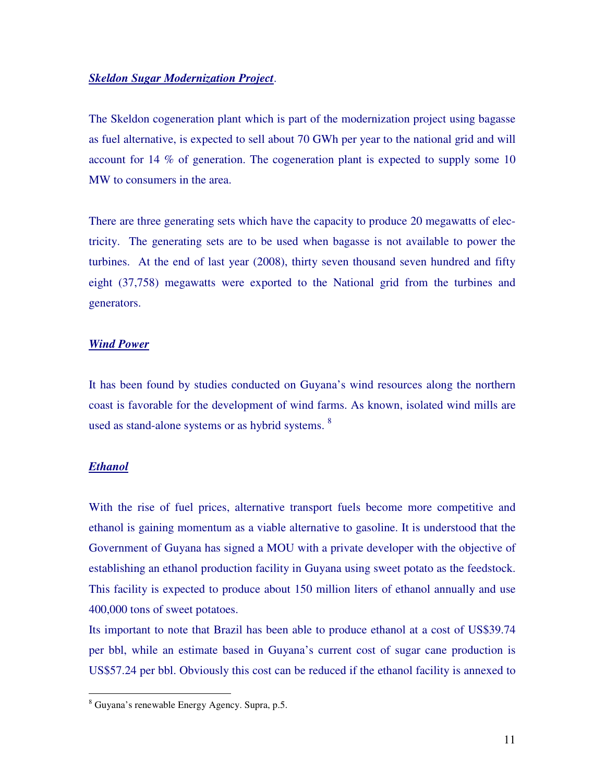#### *Skeldon Sugar Modernization Project*.

The Skeldon cogeneration plant which is part of the modernization project using bagasse as fuel alternative, is expected to sell about 70 GWh per year to the national grid and will account for 14 % of generation. The cogeneration plant is expected to supply some 10 MW to consumers in the area.

There are three generating sets which have the capacity to produce 20 megawatts of electricity. The generating sets are to be used when bagasse is not available to power the turbines. At the end of last year (2008), thirty seven thousand seven hundred and fifty eight (37,758) megawatts were exported to the National grid from the turbines and generators.

#### *Wind Power*

It has been found by studies conducted on Guyana's wind resources along the northern coast is favorable for the development of wind farms. As known, isolated wind mills are used as stand-alone systems or as hybrid systems. <sup>8</sup>

#### *Ethanol*

 $\overline{a}$ 

With the rise of fuel prices, alternative transport fuels become more competitive and ethanol is gaining momentum as a viable alternative to gasoline. It is understood that the Government of Guyana has signed a MOU with a private developer with the objective of establishing an ethanol production facility in Guyana using sweet potato as the feedstock. This facility is expected to produce about 150 million liters of ethanol annually and use 400,000 tons of sweet potatoes.

Its important to note that Brazil has been able to produce ethanol at a cost of US\$39.74 per bbl, while an estimate based in Guyana's current cost of sugar cane production is US\$57.24 per bbl. Obviously this cost can be reduced if the ethanol facility is annexed to

<sup>8</sup> Guyana's renewable Energy Agency. Supra, p.5.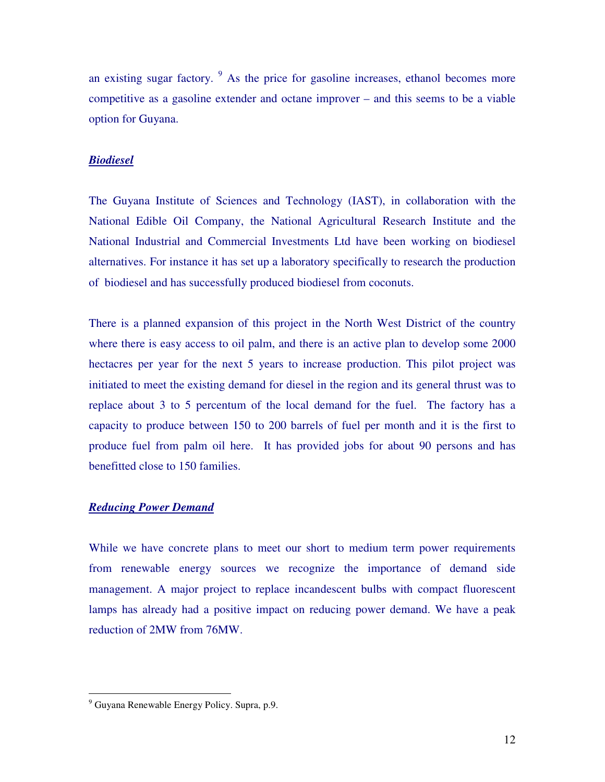an existing sugar factory. <sup>9</sup> As the price for gasoline increases, ethanol becomes more competitive as a gasoline extender and octane improver – and this seems to be a viable option for Guyana.

## *Biodiesel*

The Guyana Institute of Sciences and Technology (IAST), in collaboration with the National Edible Oil Company, the National Agricultural Research Institute and the National Industrial and Commercial Investments Ltd have been working on biodiesel alternatives. For instance it has set up a laboratory specifically to research the production of biodiesel and has successfully produced biodiesel from coconuts.

There is a planned expansion of this project in the North West District of the country where there is easy access to oil palm, and there is an active plan to develop some 2000 hectacres per year for the next 5 years to increase production. This pilot project was initiated to meet the existing demand for diesel in the region and its general thrust was to replace about 3 to 5 percentum of the local demand for the fuel. The factory has a capacity to produce between 150 to 200 barrels of fuel per month and it is the first to produce fuel from palm oil here. It has provided jobs for about 90 persons and has benefitted close to 150 families.

# *Reducing Power Demand*

While we have concrete plans to meet our short to medium term power requirements from renewable energy sources we recognize the importance of demand side management. A major project to replace incandescent bulbs with compact fluorescent lamps has already had a positive impact on reducing power demand. We have a peak reduction of 2MW from 76MW.

 $\overline{a}$ 

<sup>&</sup>lt;sup>9</sup> Guyana Renewable Energy Policy. Supra, p.9.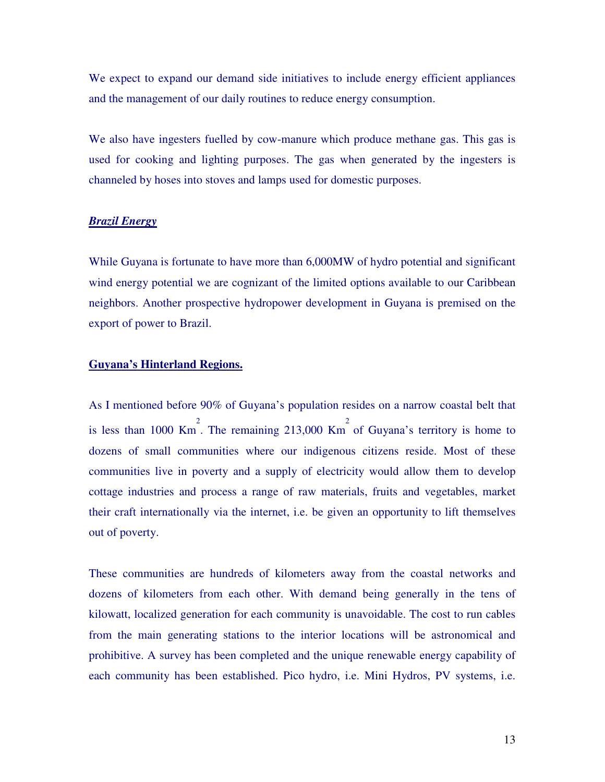We expect to expand our demand side initiatives to include energy efficient appliances and the management of our daily routines to reduce energy consumption.

We also have ingesters fuelled by cow-manure which produce methane gas. This gas is used for cooking and lighting purposes. The gas when generated by the ingesters is channeled by hoses into stoves and lamps used for domestic purposes.

#### *Brazil Energy*

While Guyana is fortunate to have more than 6,000MW of hydro potential and significant wind energy potential we are cognizant of the limited options available to our Caribbean neighbors. Another prospective hydropower development in Guyana is premised on the export of power to Brazil.

# **Guyana's Hinterland Regions.**

As I mentioned before 90% of Guyana's population resides on a narrow coastal belt that is less than 1000 Km<sup>2</sup>. The remaining 213,000 Km<sup>2</sup> of Guyana's territory is home to dozens of small communities where our indigenous citizens reside. Most of these communities live in poverty and a supply of electricity would allow them to develop cottage industries and process a range of raw materials, fruits and vegetables, market their craft internationally via the internet, i.e. be given an opportunity to lift themselves out of poverty.

These communities are hundreds of kilometers away from the coastal networks and dozens of kilometers from each other. With demand being generally in the tens of kilowatt, localized generation for each community is unavoidable. The cost to run cables from the main generating stations to the interior locations will be astronomical and prohibitive. A survey has been completed and the unique renewable energy capability of each community has been established. Pico hydro, i.e. Mini Hydros, PV systems, i.e.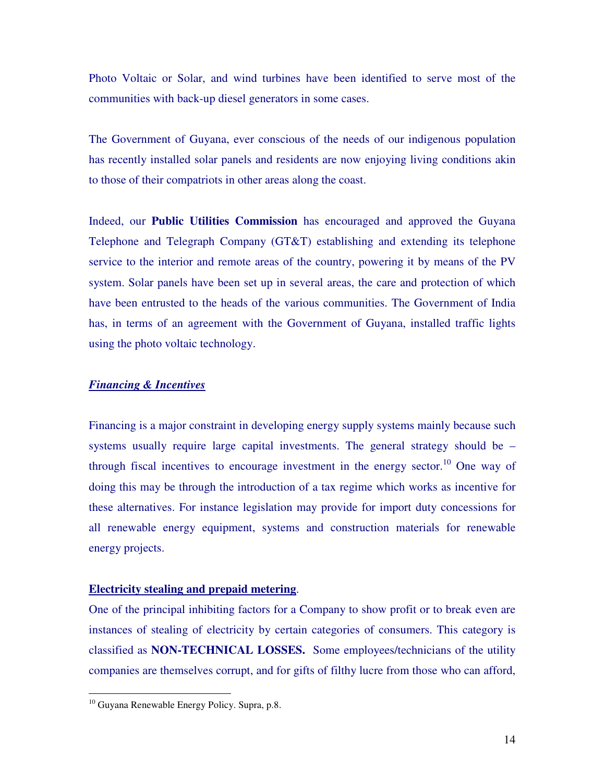Photo Voltaic or Solar, and wind turbines have been identified to serve most of the communities with back-up diesel generators in some cases.

The Government of Guyana, ever conscious of the needs of our indigenous population has recently installed solar panels and residents are now enjoying living conditions akin to those of their compatriots in other areas along the coast.

Indeed, our **Public Utilities Commission** has encouraged and approved the Guyana Telephone and Telegraph Company (GT&T) establishing and extending its telephone service to the interior and remote areas of the country, powering it by means of the PV system. Solar panels have been set up in several areas, the care and protection of which have been entrusted to the heads of the various communities. The Government of India has, in terms of an agreement with the Government of Guyana, installed traffic lights using the photo voltaic technology.

# *Financing & Incentives*

Financing is a major constraint in developing energy supply systems mainly because such systems usually require large capital investments. The general strategy should be – through fiscal incentives to encourage investment in the energy sector.<sup>10</sup> One way of doing this may be through the introduction of a tax regime which works as incentive for these alternatives. For instance legislation may provide for import duty concessions for all renewable energy equipment, systems and construction materials for renewable energy projects.

#### **Electricity stealing and prepaid metering**.

One of the principal inhibiting factors for a Company to show profit or to break even are instances of stealing of electricity by certain categories of consumers. This category is classified as **NON-TECHNICAL LOSSES.** Some employees/technicians of the utility companies are themselves corrupt, and for gifts of filthy lucre from those who can afford,

 $\overline{a}$ 

<sup>&</sup>lt;sup>10</sup> Guyana Renewable Energy Policy. Supra, p.8.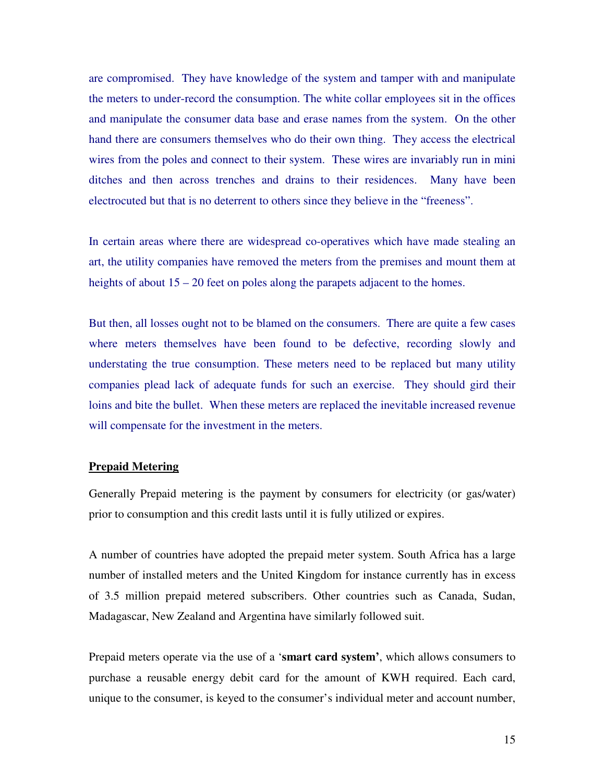are compromised. They have knowledge of the system and tamper with and manipulate the meters to under-record the consumption. The white collar employees sit in the offices and manipulate the consumer data base and erase names from the system. On the other hand there are consumers themselves who do their own thing. They access the electrical wires from the poles and connect to their system. These wires are invariably run in mini ditches and then across trenches and drains to their residences. Many have been electrocuted but that is no deterrent to others since they believe in the "freeness".

In certain areas where there are widespread co-operatives which have made stealing an art, the utility companies have removed the meters from the premises and mount them at heights of about  $15 - 20$  feet on poles along the parapets adjacent to the homes.

But then, all losses ought not to be blamed on the consumers. There are quite a few cases where meters themselves have been found to be defective, recording slowly and understating the true consumption. These meters need to be replaced but many utility companies plead lack of adequate funds for such an exercise. They should gird their loins and bite the bullet. When these meters are replaced the inevitable increased revenue will compensate for the investment in the meters.

## **Prepaid Metering**

Generally Prepaid metering is the payment by consumers for electricity (or gas/water) prior to consumption and this credit lasts until it is fully utilized or expires.

A number of countries have adopted the prepaid meter system. South Africa has a large number of installed meters and the United Kingdom for instance currently has in excess of 3.5 million prepaid metered subscribers. Other countries such as Canada, Sudan, Madagascar, New Zealand and Argentina have similarly followed suit.

Prepaid meters operate via the use of a '**smart card system'**, which allows consumers to purchase a reusable energy debit card for the amount of KWH required. Each card, unique to the consumer, is keyed to the consumer's individual meter and account number,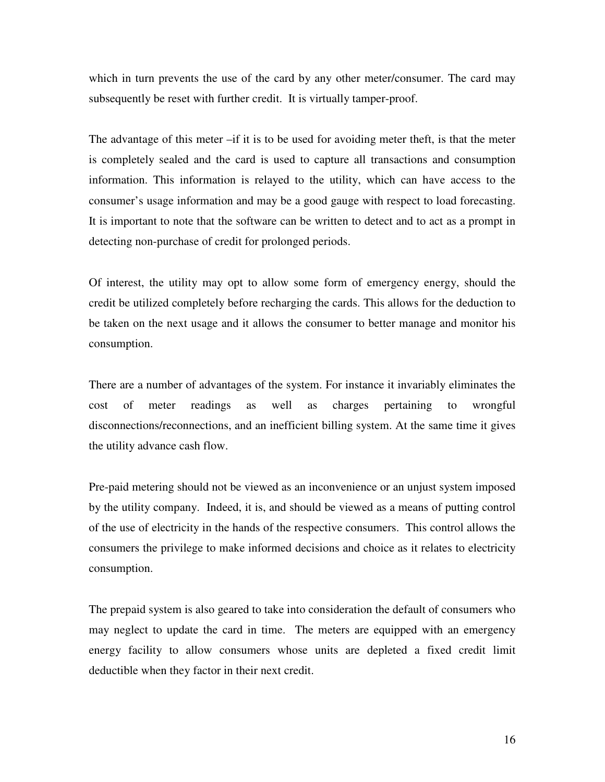which in turn prevents the use of the card by any other meter/consumer. The card may subsequently be reset with further credit. It is virtually tamper-proof.

The advantage of this meter –if it is to be used for avoiding meter theft, is that the meter is completely sealed and the card is used to capture all transactions and consumption information. This information is relayed to the utility, which can have access to the consumer's usage information and may be a good gauge with respect to load forecasting. It is important to note that the software can be written to detect and to act as a prompt in detecting non-purchase of credit for prolonged periods.

Of interest, the utility may opt to allow some form of emergency energy, should the credit be utilized completely before recharging the cards. This allows for the deduction to be taken on the next usage and it allows the consumer to better manage and monitor his consumption.

There are a number of advantages of the system. For instance it invariably eliminates the cost of meter readings as well as charges pertaining to wrongful disconnections/reconnections, and an inefficient billing system. At the same time it gives the utility advance cash flow.

Pre-paid metering should not be viewed as an inconvenience or an unjust system imposed by the utility company. Indeed, it is, and should be viewed as a means of putting control of the use of electricity in the hands of the respective consumers. This control allows the consumers the privilege to make informed decisions and choice as it relates to electricity consumption.

The prepaid system is also geared to take into consideration the default of consumers who may neglect to update the card in time. The meters are equipped with an emergency energy facility to allow consumers whose units are depleted a fixed credit limit deductible when they factor in their next credit.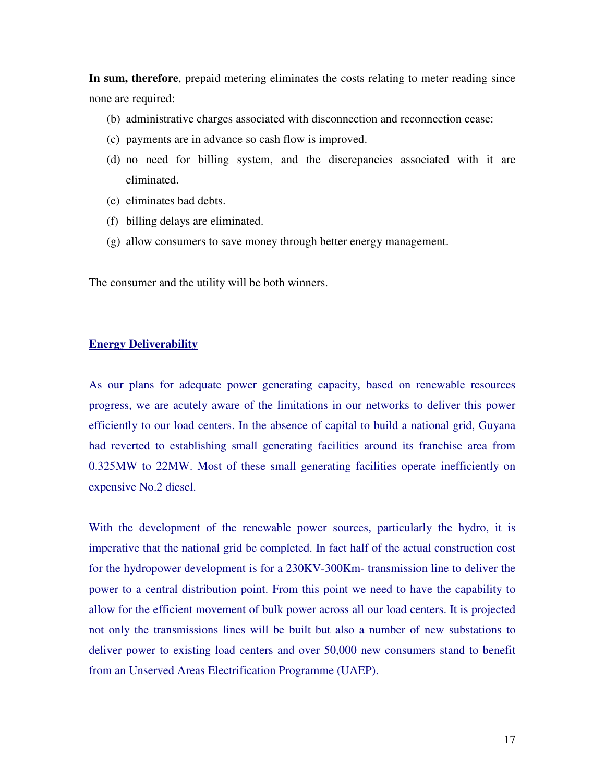**In sum, therefore**, prepaid metering eliminates the costs relating to meter reading since none are required:

- (b) administrative charges associated with disconnection and reconnection cease:
- (c) payments are in advance so cash flow is improved.
- (d) no need for billing system, and the discrepancies associated with it are eliminated.
- (e) eliminates bad debts.
- (f) billing delays are eliminated.
- (g) allow consumers to save money through better energy management.

The consumer and the utility will be both winners.

#### **Energy Deliverability**

As our plans for adequate power generating capacity, based on renewable resources progress, we are acutely aware of the limitations in our networks to deliver this power efficiently to our load centers. In the absence of capital to build a national grid, Guyana had reverted to establishing small generating facilities around its franchise area from 0.325MW to 22MW. Most of these small generating facilities operate inefficiently on expensive No.2 diesel.

With the development of the renewable power sources, particularly the hydro, it is imperative that the national grid be completed. In fact half of the actual construction cost for the hydropower development is for a 230KV-300Km- transmission line to deliver the power to a central distribution point. From this point we need to have the capability to allow for the efficient movement of bulk power across all our load centers. It is projected not only the transmissions lines will be built but also a number of new substations to deliver power to existing load centers and over 50,000 new consumers stand to benefit from an Unserved Areas Electrification Programme (UAEP).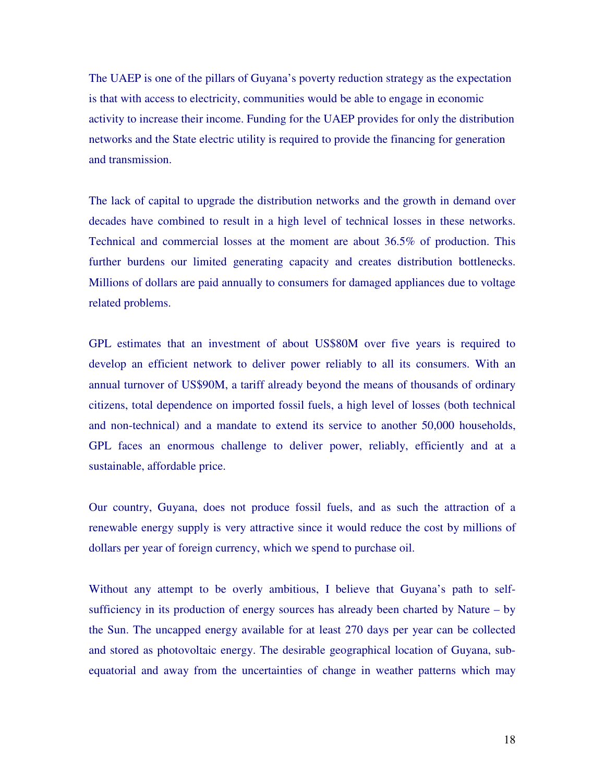The UAEP is one of the pillars of Guyana's poverty reduction strategy as the expectation is that with access to electricity, communities would be able to engage in economic activity to increase their income. Funding for the UAEP provides for only the distribution networks and the State electric utility is required to provide the financing for generation and transmission.

The lack of capital to upgrade the distribution networks and the growth in demand over decades have combined to result in a high level of technical losses in these networks. Technical and commercial losses at the moment are about 36.5% of production. This further burdens our limited generating capacity and creates distribution bottlenecks. Millions of dollars are paid annually to consumers for damaged appliances due to voltage related problems.

GPL estimates that an investment of about US\$80M over five years is required to develop an efficient network to deliver power reliably to all its consumers. With an annual turnover of US\$90M, a tariff already beyond the means of thousands of ordinary citizens, total dependence on imported fossil fuels, a high level of losses (both technical and non-technical) and a mandate to extend its service to another 50,000 households, GPL faces an enormous challenge to deliver power, reliably, efficiently and at a sustainable, affordable price.

Our country, Guyana, does not produce fossil fuels, and as such the attraction of a renewable energy supply is very attractive since it would reduce the cost by millions of dollars per year of foreign currency, which we spend to purchase oil.

Without any attempt to be overly ambitious, I believe that Guyana's path to selfsufficiency in its production of energy sources has already been charted by Nature – by the Sun. The uncapped energy available for at least 270 days per year can be collected and stored as photovoltaic energy. The desirable geographical location of Guyana, subequatorial and away from the uncertainties of change in weather patterns which may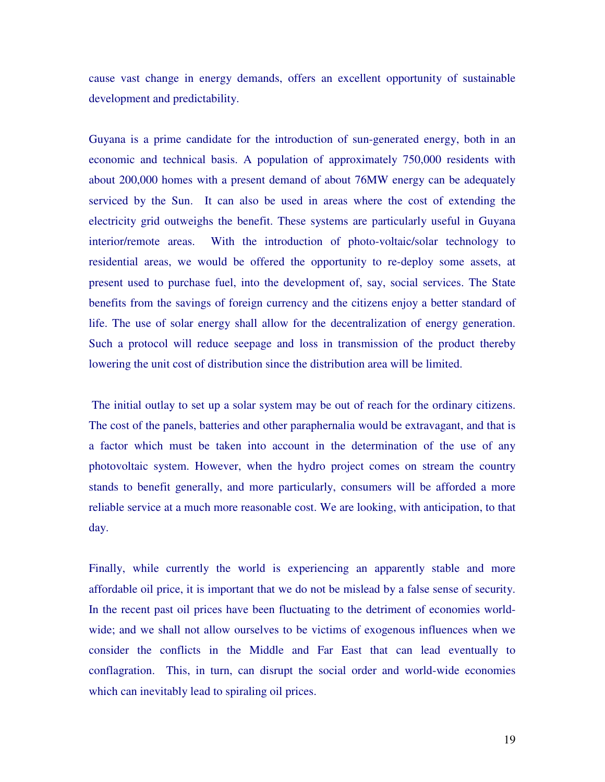cause vast change in energy demands, offers an excellent opportunity of sustainable development and predictability.

Guyana is a prime candidate for the introduction of sun-generated energy, both in an economic and technical basis. A population of approximately 750,000 residents with about 200,000 homes with a present demand of about 76MW energy can be adequately serviced by the Sun. It can also be used in areas where the cost of extending the electricity grid outweighs the benefit. These systems are particularly useful in Guyana interior/remote areas. With the introduction of photo-voltaic/solar technology to residential areas, we would be offered the opportunity to re-deploy some assets, at present used to purchase fuel, into the development of, say, social services. The State benefits from the savings of foreign currency and the citizens enjoy a better standard of life. The use of solar energy shall allow for the decentralization of energy generation. Such a protocol will reduce seepage and loss in transmission of the product thereby lowering the unit cost of distribution since the distribution area will be limited.

 The initial outlay to set up a solar system may be out of reach for the ordinary citizens. The cost of the panels, batteries and other paraphernalia would be extravagant, and that is a factor which must be taken into account in the determination of the use of any photovoltaic system. However, when the hydro project comes on stream the country stands to benefit generally, and more particularly, consumers will be afforded a more reliable service at a much more reasonable cost. We are looking, with anticipation, to that day.

Finally, while currently the world is experiencing an apparently stable and more affordable oil price, it is important that we do not be mislead by a false sense of security. In the recent past oil prices have been fluctuating to the detriment of economies worldwide; and we shall not allow ourselves to be victims of exogenous influences when we consider the conflicts in the Middle and Far East that can lead eventually to conflagration. This, in turn, can disrupt the social order and world-wide economies which can inevitably lead to spiraling oil prices.